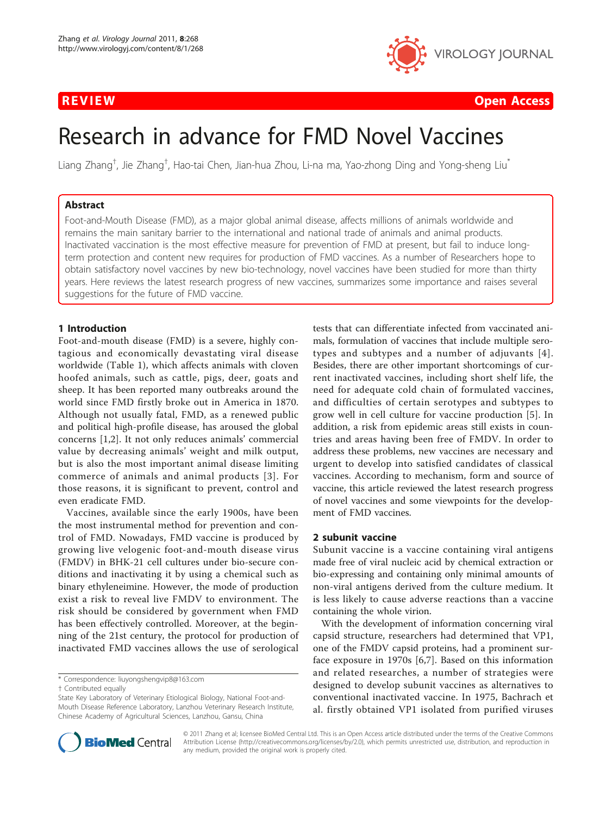

R EVI EW Open Access

# Research in advance for FMD Novel Vaccines

Liang Zhang<sup>†</sup>, Jie Zhang<sup>†</sup>, Hao-tai Chen, Jian-hua Zhou, Li-na ma, Yao-zhong Ding and Yong-sheng Liu<sup>\*</sup>

# Abstract

Foot-and-Mouth Disease (FMD), as a major global animal disease, affects millions of animals worldwide and remains the main sanitary barrier to the international and national trade of animals and animal products. Inactivated vaccination is the most effective measure for prevention of FMD at present, but fail to induce longterm protection and content new requires for production of FMD vaccines. As a number of Researchers hope to obtain satisfactory novel vaccines by new bio-technology, novel vaccines have been studied for more than thirty years. Here reviews the latest research progress of new vaccines, summarizes some importance and raises several suggestions for the future of FMD vaccine.

# 1 Introduction

Foot-and-mouth disease (FMD) is a severe, highly contagious and economically devastating viral disease worldwide (Table [1\)](#page-1-0), which affects animals with cloven hoofed animals, such as cattle, pigs, deer, goats and sheep. It has been reported many outbreaks around the world since FMD firstly broke out in America in 1870. Although not usually fatal, FMD, as a renewed public and political high-profile disease, has aroused the global concerns [\[1](#page-4-0),[2\]](#page-4-0). It not only reduces animals' commercial value by decreasing animals' weight and milk output, but is also the most important animal disease limiting commerce of animals and animal products [[3\]](#page-4-0). For those reasons, it is significant to prevent, control and even eradicate FMD.

Vaccines, available since the early 1900s, have been the most instrumental method for prevention and control of FMD. Nowadays, FMD vaccine is produced by growing live velogenic foot-and-mouth disease virus (FMDV) in BHK-21 cell cultures under bio-secure conditions and inactivating it by using a chemical such as binary ethyleneimine. However, the mode of production exist a risk to reveal live FMDV to environment. The risk should be considered by government when FMD has been effectively controlled. Moreover, at the beginning of the 21st century, the protocol for production of inactivated FMD vaccines allows the use of serological

tests that can differentiate infected from vaccinated animals, formulation of vaccines that include multiple serotypes and subtypes and a number of adjuvants [[4\]](#page-4-0). Besides, there are other important shortcomings of current inactivated vaccines, including short shelf life, the need for adequate cold chain of formulated vaccines, and difficulties of certain serotypes and subtypes to grow well in cell culture for vaccine production [[5\]](#page-4-0). In addition, a risk from epidemic areas still exists in countries and areas having been free of FMDV. In order to address these problems, new vaccines are necessary and urgent to develop into satisfied candidates of classical vaccines. According to mechanism, form and source of vaccine, this article reviewed the latest research progress of novel vaccines and some viewpoints for the development of FMD vaccines.

#### 2 subunit vaccine

Subunit vaccine is a vaccine containing viral antigens made free of viral nucleic acid by chemical extraction or bio-expressing and containing only minimal amounts of non-viral antigens derived from the culture medium. It is less likely to cause adverse reactions than a vaccine containing the whole virion.

With the development of information concerning viral capsid structure, researchers had determined that VP1, one of the FMDV capsid proteins, had a prominent surface exposure in 1970s [[6,7\]](#page-4-0). Based on this information and related researches, a number of strategies were designed to develop subunit vaccines as alternatives to conventional inactivated vaccine. In 1975, Bachrach et al. firstly obtained VP1 isolated from purified viruses



© 2011 Zhang et al; licensee BioMed Central Ltd. This is an Open Access article distributed under the terms of the Creative Commons Attribution License [\(http://creativecommons.org/licenses/by/2.0](http://creativecommons.org/licenses/by/2.0)), which permits unrestricted use, distribution, and reproduction in any medium, provided the original work is properly cited.

<sup>\*</sup> Correspondence: [liuyongshengvip8@163.com](mailto:liuyongshengvip8@163.com)

<sup>†</sup> Contributed equally

State Key Laboratory of Veterinary Etiological Biology, National Foot-and-Mouth Disease Reference Laboratory, Lanzhou Veterinary Research Institute, Chinese Academy of Agricultural Sciences, Lanzhou, Gansu, China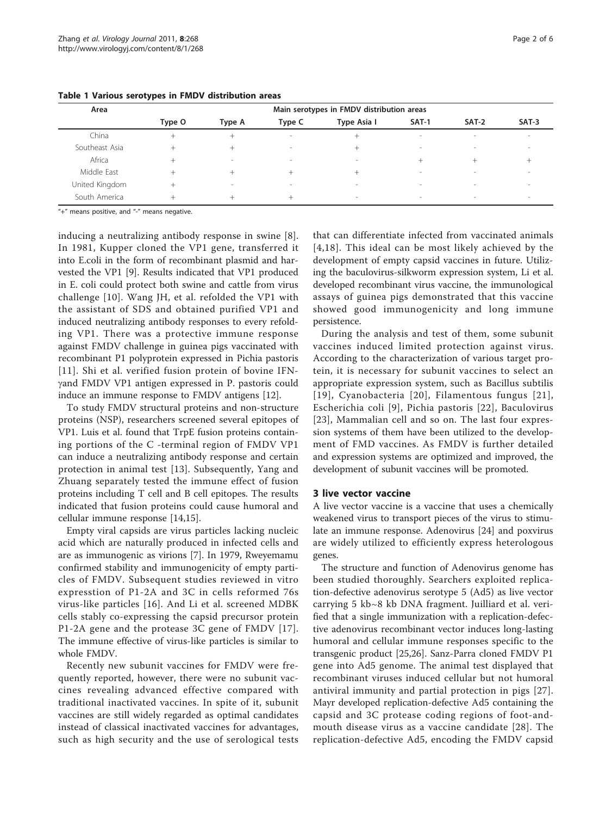| Area           | Main serotypes in FMDV distribution areas |        |        |             |                          |        |                          |  |
|----------------|-------------------------------------------|--------|--------|-------------|--------------------------|--------|--------------------------|--|
|                | Type O                                    | Type A | Type C | Type Asia I | SAT-1                    | SAT-2  | SAT-3                    |  |
| China          | $^{+}$                                    | $^+$   | $\sim$ | $^+$        | $\overline{\phantom{a}}$ | $\sim$ | -                        |  |
| Southeast Asia | $^{+}$                                    | $^+$   | $\sim$ | $^{+}$      | $\overline{\phantom{a}}$ | $\sim$ | -                        |  |
| Africa         | $^{+}$                                    | $\sim$ | $\sim$ | $\sim$      | $^+$                     | $^+$   | $^+$                     |  |
| Middle East    | $^{+}$                                    | $^+$   |        | $^+$        | $\sim$                   |        |                          |  |
| United Kingdom |                                           | $\sim$ | $\sim$ | $\sim$      | $\overline{\phantom{a}}$ | $\sim$ | $\overline{\phantom{a}}$ |  |
| South America  | $^{+}$                                    | $+$    | $^+$   | $\sim$      | $\overline{\phantom{a}}$ | $\sim$ | $\sim$                   |  |

<span id="page-1-0"></span>Table 1 Various serotypes in FMDV distribution areas

"+" means positive, and "-" means negative.

inducing a neutralizing antibody response in swine [[8](#page-4-0)]. In 1981, Kupper cloned the VP1 gene, transferred it into E.coli in the form of recombinant plasmid and harvested the VP1 [\[9](#page-4-0)]. Results indicated that VP1 produced in E. coli could protect both swine and cattle from virus challenge [[10](#page-4-0)]. Wang JH, et al. refolded the VP1 with the assistant of SDS and obtained purified VP1 and induced neutralizing antibody responses to every refolding VP1. There was a protective immune response against FMDV challenge in guinea pigs vaccinated with recombinant P1 polyprotein expressed in Pichia pastoris [[11\]](#page-4-0). Shi et al. verified fusion protein of bovine IFNgand FMDV VP1 antigen expressed in P. pastoris could induce an immune response to FMDV antigens [[12\]](#page-4-0).

To study FMDV structural proteins and non-structure proteins (NSP), researchers screened several epitopes of VP1. Luis et al. found that TrpE fusion proteins containing portions of the C -terminal region of FMDV VP1 can induce a neutralizing antibody response and certain protection in animal test [[13\]](#page-4-0). Subsequently, Yang and Zhuang separately tested the immune effect of fusion proteins including T cell and B cell epitopes. The results indicated that fusion proteins could cause humoral and cellular immune response [[14,15](#page-4-0)].

Empty viral capsids are virus particles lacking nucleic acid which are naturally produced in infected cells and are as immunogenic as virions [\[7](#page-4-0)]. In 1979, Rweyemamu confirmed stability and immunogenicity of empty particles of FMDV. Subsequent studies reviewed in vitro expresstion of P1-2A and 3C in cells reformed 76s virus-like particles [[16](#page-4-0)]. And Li et al. screened MDBK cells stably co-expressing the capsid precursor protein P1-2A gene and the protease 3C gene of FMDV [[17\]](#page-4-0). The immune effective of virus-like particles is similar to whole FMDV.

Recently new subunit vaccines for FMDV were frequently reported, however, there were no subunit vaccines revealing advanced effective compared with traditional inactivated vaccines. In spite of it, subunit vaccines are still widely regarded as optimal candidates instead of classical inactivated vaccines for advantages, such as high security and the use of serological tests

that can differentiate infected from vaccinated animals [[4,18\]](#page-4-0). This ideal can be most likely achieved by the development of empty capsid vaccines in future. Utilizing the baculovirus-silkworm expression system, Li et al. developed recombinant virus vaccine, the immunological assays of guinea pigs demonstrated that this vaccine showed good immunogenicity and long immune persistence.

During the analysis and test of them, some subunit vaccines induced limited protection against virus. According to the characterization of various target protein, it is necessary for subunit vaccines to select an appropriate expression system, such as Bacillus subtilis [[19](#page-4-0)], Cyanobacteria [[20](#page-4-0)], Filamentous fungus [[21\]](#page-4-0), Escherichia coli [[9\]](#page-4-0), Pichia pastoris [[22](#page-4-0)], Baculovirus [[23](#page-4-0)], Mammalian cell and so on. The last four expression systems of them have been utilized to the development of FMD vaccines. As FMDV is further detailed and expression systems are optimized and improved, the development of subunit vaccines will be promoted.

#### 3 live vector vaccine

A live vector vaccine is a vaccine that uses a chemically weakened virus to transport pieces of the virus to stimulate an immune response. Adenovirus [[24](#page-4-0)] and poxvirus are widely utilized to efficiently express heterologous genes.

The structure and function of Adenovirus genome has been studied thoroughly. Searchers exploited replication-defective adenovirus serotype 5 (Ad5) as live vector carrying 5 kb~8 kb DNA fragment. Juilliard et al. verified that a single immunization with a replication-defective adenovirus recombinant vector induces long-lasting humoral and cellular immune responses specific to the transgenic product [\[25,26](#page-4-0)]. Sanz-Parra cloned FMDV P1 gene into Ad5 genome. The animal test displayed that recombinant viruses induced cellular but not humoral antiviral immunity and partial protection in pigs [[27](#page-4-0)]. Mayr developed replication-defective Ad5 containing the capsid and 3C protease coding regions of foot-andmouth disease virus as a vaccine candidate [[28](#page-4-0)]. The replication-defective Ad5, encoding the FMDV capsid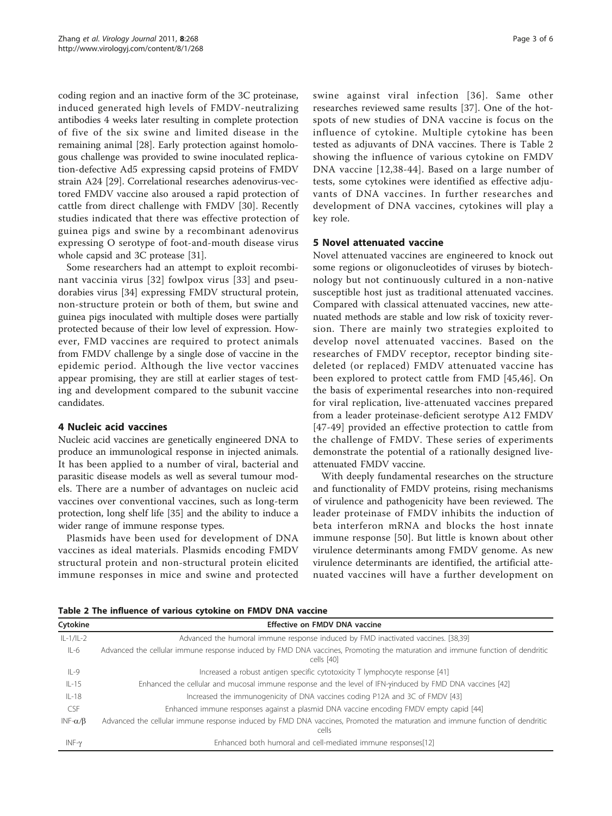coding region and an inactive form of the 3C proteinase, induced generated high levels of FMDV-neutralizing antibodies 4 weeks later resulting in complete protection of five of the six swine and limited disease in the remaining animal [[28](#page-4-0)]. Early protection against homologous challenge was provided to swine inoculated replication-defective Ad5 expressing capsid proteins of FMDV strain A24 [[29\]](#page-4-0). Correlational researches adenovirus-vectored FMDV vaccine also aroused a rapid protection of cattle from direct challenge with FMDV [\[30\]](#page-4-0). Recently studies indicated that there was effective protection of guinea pigs and swine by a recombinant adenovirus expressing O serotype of foot-and-mouth disease virus whole capsid and 3C protease [\[31\]](#page-4-0).

Some researchers had an attempt to exploit recombinant vaccinia virus [[32\]](#page-4-0) fowlpox virus [[33\]](#page-4-0) and pseudorabies virus [\[34\]](#page-4-0) expressing FMDV structural protein, non-structure protein or both of them, but swine and guinea pigs inoculated with multiple doses were partially protected because of their low level of expression. However, FMD vaccines are required to protect animals from FMDV challenge by a single dose of vaccine in the epidemic period. Although the live vector vaccines appear promising, they are still at earlier stages of testing and development compared to the subunit vaccine candidates.

# 4 Nucleic acid vaccines

Nucleic acid vaccines are genetically engineered DNA to produce an immunological response in injected animals. It has been applied to a number of viral, bacterial and parasitic disease models as well as several tumour models. There are a number of advantages on nucleic acid vaccines over conventional vaccines, such as long-term protection, long shelf life [[35\]](#page-4-0) and the ability to induce a wider range of immune response types.

Plasmids have been used for development of DNA vaccines as ideal materials. Plasmids encoding FMDV structural protein and non-structural protein elicited immune responses in mice and swine and protected swine against viral infection [[36](#page-4-0)]. Same other researches reviewed same results [[37\]](#page-4-0). One of the hotspots of new studies of DNA vaccine is focus on the influence of cytokine. Multiple cytokine has been tested as adjuvants of DNA vaccines. There is Table 2 showing the influence of various cytokine on FMDV DNA vaccine [[12](#page-4-0),[38-](#page-4-0)[44](#page-5-0)]. Based on a large number of tests, some cytokines were identified as effective adjuvants of DNA vaccines. In further researches and development of DNA vaccines, cytokines will play a key role.

# 5 Novel attenuated vaccine

Novel attenuated vaccines are engineered to knock out some regions or oligonucleotides of viruses by biotechnology but not continuously cultured in a non-native susceptible host just as traditional attenuated vaccines. Compared with classical attenuated vaccines, new attenuated methods are stable and low risk of toxicity reversion. There are mainly two strategies exploited to develop novel attenuated vaccines. Based on the researches of FMDV receptor, receptor binding sitedeleted (or replaced) FMDV attenuated vaccine has been explored to protect cattle from FMD [[45,46](#page-5-0)]. On the basis of experimental researches into non-required for viral replication, live-attenuated vaccines prepared from a leader proteinase-deficient serotype A12 FMDV [[47](#page-5-0)-[49](#page-5-0)] provided an effective protection to cattle from the challenge of FMDV. These series of experiments demonstrate the potential of a rationally designed liveattenuated FMDV vaccine.

With deeply fundamental researches on the structure and functionality of FMDV proteins, rising mechanisms of virulence and pathogenicity have been reviewed. The leader proteinase of FMDV inhibits the induction of beta interferon mRNA and blocks the host innate immune response [[50](#page-5-0)]. But little is known about other virulence determinants among FMDV genome. As new virulence determinants are identified, the artificial attenuated vaccines will have a further development on

Table 2 The influence of various cytokine on FMDV DNA vaccine

| Cytokine           | Effective on FMDV DNA vaccine                                                                                                              |
|--------------------|--------------------------------------------------------------------------------------------------------------------------------------------|
| $IL-1/IL-2$        | Advanced the humoral immune response induced by FMD inactivated vaccines. [38,39]                                                          |
| $IL-6$             | Advanced the cellular immune response induced by FMD DNA vaccines, Promoting the maturation and immune function of dendritic<br>cells [40] |
| $IL-9$             | Increased a robust antigen specific cytotoxicity T lymphocyte response [41]                                                                |
| $IL-15$            | Enhanced the cellular and mucosal immune response and the level of IFN-yinduced by FMD DNA vaccines [42]                                   |
| $IL-18$            | Increased the immunogenicity of DNA vaccines coding P12A and 3C of FMDV [43]                                                               |
| <b>CSF</b>         | Enhanced immune responses against a plasmid DNA vaccine encoding FMDV empty capid [44]                                                     |
| $INF-\alpha/\beta$ | Advanced the cellular immune response induced by FMD DNA vaccines, Promoted the maturation and immune function of dendritic<br>cells       |
| $INF-\gamma$       | Enhanced both humoral and cell-mediated immune responses[12]                                                                               |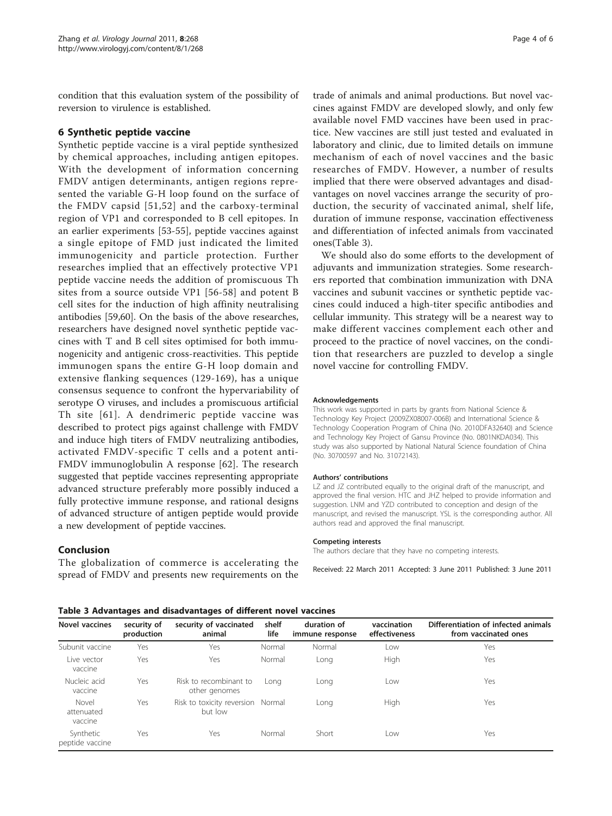condition that this evaluation system of the possibility of reversion to virulence is established.

# 6 Synthetic peptide vaccine

Synthetic peptide vaccine is a viral peptide synthesized by chemical approaches, including antigen epitopes. With the development of information concerning FMDV antigen determinants, antigen regions represented the variable G-H loop found on the surface of the FMDV capsid [[51,52](#page-5-0)] and the carboxy-terminal region of VP1 and corresponded to B cell epitopes. In an earlier experiments [\[53](#page-5-0)-[55\]](#page-5-0), peptide vaccines against a single epitope of FMD just indicated the limited immunogenicity and particle protection. Further researches implied that an effectively protective VP1 peptide vaccine needs the addition of promiscuous Th sites from a source outside VP1 [[56](#page-5-0)-[58](#page-5-0)] and potent B cell sites for the induction of high affinity neutralising antibodies [\[59,60\]](#page-5-0). On the basis of the above researches, researchers have designed novel synthetic peptide vaccines with T and B cell sites optimised for both immunogenicity and antigenic cross-reactivities. This peptide immunogen spans the entire G-H loop domain and extensive flanking sequences (129-169), has a unique consensus sequence to confront the hypervariability of serotype O viruses, and includes a promiscuous artificial Th site [[61](#page-5-0)]. A dendrimeric peptide vaccine was described to protect pigs against challenge with FMDV and induce high titers of FMDV neutralizing antibodies, activated FMDV-specific T cells and a potent anti-FMDV immunoglobulin A response [\[62](#page-5-0)]. The research suggested that peptide vaccines representing appropriate advanced structure preferably more possibly induced a fully protective immune response, and rational designs of advanced structure of antigen peptide would provide a new development of peptide vaccines.

# Conclusion

The globalization of commerce is accelerating the spread of FMDV and presents new requirements on the

trade of animals and animal productions. But novel vaccines against FMDV are developed slowly, and only few available novel FMD vaccines have been used in practice. New vaccines are still just tested and evaluated in laboratory and clinic, due to limited details on immune mechanism of each of novel vaccines and the basic researches of FMDV. However, a number of results implied that there were observed advantages and disadvantages on novel vaccines arrange the security of production, the security of vaccinated animal, shelf life, duration of immune response, vaccination effectiveness and differentiation of infected animals from vaccinated ones(Table 3).

We should also do some efforts to the development of adjuvants and immunization strategies. Some researchers reported that combination immunization with DNA vaccines and subunit vaccines or synthetic peptide vaccines could induced a high-titer specific antibodies and cellular immunity. This strategy will be a nearest way to make different vaccines complement each other and proceed to the practice of novel vaccines, on the condition that researchers are puzzled to develop a single novel vaccine for controlling FMDV.

#### Acknowledgements

This work was supported in parts by grants from National Science & Technology Key Project (2009ZX08007-006B) and International Science & Technology Cooperation Program of China (No. 2010DFA32640) and Science and Technology Key Project of Gansu Province (No. 0801NKDA034). This study was also supported by National Natural Science foundation of China (No. 30700597 and No. 31072143).

#### Authors' contributions

LZ and JZ contributed equally to the original draft of the manuscript, and approved the final version. HTC and JHZ helped to provide information and suggestion. LNM and YZD contributed to conception and design of the manuscript, and revised the manuscript. YSL is the corresponding author. All authors read and approved the final manuscript.

#### Competing interests

The authors declare that they have no competing interests.

Received: 22 March 2011 Accepted: 3 June 2011 Published: 3 June 2011

|  |  |  | Table 3 Advantages and disadvantages of different novel vaccines |  |  |  |  |
|--|--|--|------------------------------------------------------------------|--|--|--|--|
|--|--|--|------------------------------------------------------------------|--|--|--|--|

| <b>Novel vaccines</b>          | security of<br>production | security of vaccinated<br>animal             | shelf<br>life | duration of<br>immune response | vaccination<br>effectiveness | Differentiation of infected animals<br>from vaccinated ones |
|--------------------------------|---------------------------|----------------------------------------------|---------------|--------------------------------|------------------------------|-------------------------------------------------------------|
| Subunit vaccine                | Yes                       | Yes                                          | Normal        | Normal                         | Low                          | Yes                                                         |
| Live vector<br>vaccine         | Yes                       | Yes                                          | Normal        | Long                           | High                         | Yes                                                         |
| Nucleic acid<br>vaccine        | Yes                       | Risk to recombinant to<br>other genomes      | Lona          | Long                           | Low                          | Yes                                                         |
| Novel<br>attenuated<br>vaccine | Yes                       | Risk to toxicity reversion Normal<br>but low |               | Long                           | High                         | Yes                                                         |
| Synthetic<br>peptide vaccine   | Yes                       | Yes                                          | Normal        | Short                          | Low                          | Yes                                                         |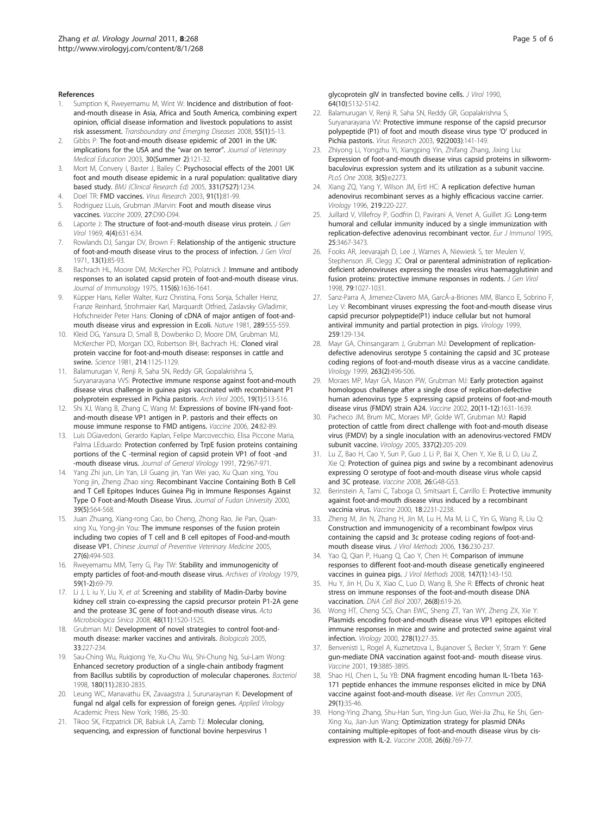#### <span id="page-4-0"></span>References

- Sumption K, Rweyemamu M, Wint W: [Incidence and distribution of foot](http://www.ncbi.nlm.nih.gov/pubmed/18397505?dopt=Abstract)[and-mouth disease in Asia, Africa and South America, combining expert](http://www.ncbi.nlm.nih.gov/pubmed/18397505?dopt=Abstract) [opinion, official disease information and livestock populations to assist](http://www.ncbi.nlm.nih.gov/pubmed/18397505?dopt=Abstract) [risk assessment.](http://www.ncbi.nlm.nih.gov/pubmed/18397505?dopt=Abstract) Transboundary and Emerging Diseases 2008, 55(1):5-13.
- 2. Gibbs P: [The foot-and-mouth disease epidemic of 2001 in the UK:](http://www.ncbi.nlm.nih.gov/pubmed/12970855?dopt=Abstract) [implications for the USA and the](http://www.ncbi.nlm.nih.gov/pubmed/12970855?dopt=Abstract) "war on terror". Journal of Veterinary Medical Education 2003, 30(Summer 2):121-32.
- Mort M, Convery I, Baxter J, Bailey C: Psychosocial effects of the 2001 UK foot and mouth disease epidemic in a rural population: qualitative diary based study. BMJ (Clinical Research Ed) 2005, 331(7527):1234.
- 4. Doel TR: [FMD vaccines.](http://www.ncbi.nlm.nih.gov/pubmed/12527439?dopt=Abstract) Virus Research 2003, 91(1):81-99.
- 5. Rodriguez LLuis, Grubman JMarvin: [Foot and mouth disease virus](http://www.ncbi.nlm.nih.gov/pubmed/19837296?dopt=Abstract) [vaccines.](http://www.ncbi.nlm.nih.gov/pubmed/19837296?dopt=Abstract) Vaccine 2009, 27:D90-D94.
- 6. Laporte J: [The structure of foot-and-mouth disease virus protein.](http://www.ncbi.nlm.nih.gov/pubmed/4308493?dopt=Abstract) J Gen Virol 1969, 4(4):631-634.
- 7. Rowlands DJ, Sangar DV, Brown F: [Relationship of the antigenic structure](http://www.ncbi.nlm.nih.gov/pubmed/4331815?dopt=Abstract) [of foot-and-mouth disease virus to the process of infection.](http://www.ncbi.nlm.nih.gov/pubmed/4331815?dopt=Abstract) J Gen Virol 1971, 13(1):85-93.
- 8. Bachrach HL, Moore DM, McKercher PD, Polatnick J: Immune and antibody responses to an isolated capsid protein of foot-and-mouth disease virus. Journal of Immunology 1975, 115(6):1636-1641.
- Küpper Hans, Keller Walter, Kurz Christina, Forss Sonja, Schaller Heinz, Franze Reinhard, Strohmaier Karl, Marquardt Otfried, Zaslavsky GVladimir, Hofschneider Peter Hans: [Cloning of cDNA of major antigen of foot-and](http://www.ncbi.nlm.nih.gov/pubmed/6258084?dopt=Abstract)[mouth disease virus and expression in E.coli.](http://www.ncbi.nlm.nih.gov/pubmed/6258084?dopt=Abstract) Nature 1981, 289:555-559.
- 10. Kleid DG, Yansura D, Small B, Dowbenko D, Moore DM, Grubman MJ, McKercher PD, Morgan DO, Robertson BH, Bachrach HL: [Cloned viral](http://www.ncbi.nlm.nih.gov/pubmed/6272395?dopt=Abstract) [protein vaccine for foot-and-mouth disease: responses in cattle and](http://www.ncbi.nlm.nih.gov/pubmed/6272395?dopt=Abstract) [swine.](http://www.ncbi.nlm.nih.gov/pubmed/6272395?dopt=Abstract) Science 1981, 214:1125-1129.
- 11. Balamurugan V, Renji R, Saha SN, Reddy GR, Gopalakrishna S, Suryanarayana VVS: Protective immune response against foot-and-mouth disease virus challenge in guinea pigs vaccinated with recombinant P1 polyprotein expressed in Pichia pastoris. Arch Virol 2005, 19(1):513-516.
- 12. Shi XJ, Wang B, Zhang C, Wang M: [Expressions of bovine IFN-](http://www.ncbi.nlm.nih.gov/pubmed/16135391?dopt=Abstract)yand foot[and-mouth disease VP1 antigen in P. pastoris and their effects on](http://www.ncbi.nlm.nih.gov/pubmed/16135391?dopt=Abstract) [mouse immune response to FMD antigens.](http://www.ncbi.nlm.nih.gov/pubmed/16135391?dopt=Abstract) Vaccine 2006, 24:82-89.
- 13. Luis DGiavedoni, Gerardo Kaplan, Felipe Marcovecchio, Elisa Piccone Maria, Palma LEduardo: [Protection conferred by TrpE fusion proteins containing](http://www.ncbi.nlm.nih.gov/pubmed/1849980?dopt=Abstract) [portions of the C -terminal region of capsid protein VP1 of foot -and](http://www.ncbi.nlm.nih.gov/pubmed/1849980?dopt=Abstract) [-mouth disease virus.](http://www.ncbi.nlm.nih.gov/pubmed/1849980?dopt=Abstract) Journal of General Virology 1991, 72:967-971.
- 14. Yang Zhi jun, Lin Yan, LiI Guang jin, Yan Wei yao, Xu Quan xing, You Yong jin, Zheng Zhao xing: Recombinant Vaccine Containing Both B Cell and T Cell Epitopes Induces Guinea Pig in Immune Responses Against Type O Foot-and-Mouth Disease Virus. Journal of Fudan University 2000, 39(5):564-568.
- 15. Juan Zhuang, Xiang-rong Cao, bo Cheng, Zhong Rao, Jie Pan, Quanxing Xu, Yong-jin You: The immune responses of the fusion protein including two copies of T cell and B cell epitopes of Food-and-mouth disease VP1. Chinese Journal of Preventive Veterinary Medicine 2005, 27(6):494-503.
- 16. Rweyemamu MM, Terry G, Pay TW: [Stability and immunogenicity of](http://www.ncbi.nlm.nih.gov/pubmed/218538?dopt=Abstract) [empty particles of foot-and-mouth disease virus.](http://www.ncbi.nlm.nih.gov/pubmed/218538?dopt=Abstract) Archives of Virology 1979, 59(1-2):69-79.
- 17. Li J, L iu Y, Liu X, et al: [Screening and stability of Madin-Darby bovine](http://www.ncbi.nlm.nih.gov/pubmed/19149169?dopt=Abstract) [kidney cell strain co-expressing the capsid precursor protein P1-2A gene](http://www.ncbi.nlm.nih.gov/pubmed/19149169?dopt=Abstract) [and the protease 3C gene of foot-and-mouth disease virus.](http://www.ncbi.nlm.nih.gov/pubmed/19149169?dopt=Abstract) Acta Microbiologica Sinica 2008, 48(11):1520-1525.
- 18. Grubman MJ: [Development of novel strategies to control foot-and](http://www.ncbi.nlm.nih.gov/pubmed/16289996?dopt=Abstract)[mouth disease: marker vaccines and antivirals.](http://www.ncbi.nlm.nih.gov/pubmed/16289996?dopt=Abstract) Biologicals 2005, 33:227-234.
- 19. Sau-Ching Wu, Ruiqiong Ye, Xu-Chu Wu, Shi-Chung Ng, Sui-Lam Wong: Enhanced secretory production of a single-chain antibody fragment from Bacillus subtilis by coproduction of molecular chaperones. Bacteriol 1998, 180(11):2830-2835.
- 20. Leung WC, Manavathu EK, Zavaagstra J, Surunaraynan K: Development of fungal nd algal cells for expression of foreign genes. Applied Virology Academic Press New York; 1986, 25-30.
- 21. Tikoo SK, Fitzpatrick DR, Babiuk LA, Zamb TJ: [Molecular cloning,](http://www.ncbi.nlm.nih.gov/pubmed/2168991?dopt=Abstract) [sequencing, and expression of functional bovine herpesvirus 1](http://www.ncbi.nlm.nih.gov/pubmed/2168991?dopt=Abstract)

[glycoprotein gIV in transfected bovine cells.](http://www.ncbi.nlm.nih.gov/pubmed/2168991?dopt=Abstract) J Virol 1990, 64(10):5132-5142.

- 22. Balamurugan V, Renji R, Saha SN, Reddy GR, Gopalakrishna S, Suryanarayana VV: [Protective immune response of the capsid precursor](http://www.ncbi.nlm.nih.gov/pubmed/12686422?dopt=Abstract) [polypeptide \(P1\) of foot and mouth disease virus type](http://www.ncbi.nlm.nih.gov/pubmed/12686422?dopt=Abstract) 'O' produced in [Pichia pastoris.](http://www.ncbi.nlm.nih.gov/pubmed/12686422?dopt=Abstract) Virus Research 2003, 92(2003):141-149.
- 23. Zhiyong Li, Yongzhu Yi, Xiangping Yin, Zhifang Zhang, Jixing Liu: [Expression of foot-and-mouth disease virus capsid proteins in silkworm](http://www.ncbi.nlm.nih.gov/pubmed/18509464?dopt=Abstract)[baculovirus expression system and its utilization as a subunit vaccine.](http://www.ncbi.nlm.nih.gov/pubmed/18509464?dopt=Abstract) PLoS One 2008, 3(5):e2273.
- 24. Xiang ZQ, Yang Y, Wilson JM, Ertl HC: [A replication defective human](http://www.ncbi.nlm.nih.gov/pubmed/8623532?dopt=Abstract) [adenovirus recombinant serves as a highly efficacious vaccine carrier.](http://www.ncbi.nlm.nih.gov/pubmed/8623532?dopt=Abstract) Virology 1996, 219:220-227.
- 25. Juillard V, Villefroy P, Godfrin D, Pavirani A, Venet A, Guillet JG: [Long-term](http://www.ncbi.nlm.nih.gov/pubmed/8566039?dopt=Abstract) [humoral and cellular immunity induced by a single immunization with](http://www.ncbi.nlm.nih.gov/pubmed/8566039?dopt=Abstract) [replication-defective adenovirus recombinant vector.](http://www.ncbi.nlm.nih.gov/pubmed/8566039?dopt=Abstract) Eur J Immunol 1995, 25:3467-3473.
- 26. Fooks AR, Jeevarajah D, Lee J, Warnes A, Niewiesk S, ter Meulen V, Stephenson JR, Clegg JC: [Oral or parenteral administration of replication](http://www.ncbi.nlm.nih.gov/pubmed/9603317?dopt=Abstract)[deficient adenoviruses expressing the measles virus haemagglutinin and](http://www.ncbi.nlm.nih.gov/pubmed/9603317?dopt=Abstract) [fusion proteins: protective immune responses in rodents.](http://www.ncbi.nlm.nih.gov/pubmed/9603317?dopt=Abstract) J Gen Virol 1998, 79:1027-1031.
- 27. Sanz-Parra A, Jimenez-Clavero MA, GarcÃ-a-Briones MM, Blanco E, Sobrino F, Ley V: [Recombinant viruses expressing the foot-and-mouth disease virus](http://www.ncbi.nlm.nih.gov/pubmed/10364496?dopt=Abstract) [capsid precursor polypeptide\(P1\) induce cellular but not humoral](http://www.ncbi.nlm.nih.gov/pubmed/10364496?dopt=Abstract) [antiviral immunity and partial protection in pigs.](http://www.ncbi.nlm.nih.gov/pubmed/10364496?dopt=Abstract) Virology 1999, 259:129-134.
- 28. Mayr GA, Chinsangaram J, Grubman MJ: [Development of replication](http://www.ncbi.nlm.nih.gov/pubmed/10544121?dopt=Abstract)[defective adenovirus serotype 5 containing the capsid and 3C protease](http://www.ncbi.nlm.nih.gov/pubmed/10544121?dopt=Abstract) [coding regions of foot-and-mouth disease virus as a vaccine candidate.](http://www.ncbi.nlm.nih.gov/pubmed/10544121?dopt=Abstract) Virology 1999, 263(2):496-506.
- 29. Moraes MP, Mayr GA, Mason PW, Grubman MJ: [Early protection against](http://www.ncbi.nlm.nih.gov/pubmed/11858872?dopt=Abstract) [homologous challenge after a single dose of replication-defective](http://www.ncbi.nlm.nih.gov/pubmed/11858872?dopt=Abstract) [human adenovirus type 5 expressing capsid proteins of foot-and-mouth](http://www.ncbi.nlm.nih.gov/pubmed/11858872?dopt=Abstract) [disease virus \(FMDV\) strain A24.](http://www.ncbi.nlm.nih.gov/pubmed/11858872?dopt=Abstract) Vaccine 2002, 20(11-12):1631-1639.
- 30. Pacheco JM, Brum MC, Moraes MP, Golde WT, Grubman MJ: [Rapid](http://www.ncbi.nlm.nih.gov/pubmed/15893355?dopt=Abstract) [protection of cattle from direct challenge with foot-and-mouth disease](http://www.ncbi.nlm.nih.gov/pubmed/15893355?dopt=Abstract) [virus \(FMDV\) by a single inoculation with an adenovirus-vectored FMDV](http://www.ncbi.nlm.nih.gov/pubmed/15893355?dopt=Abstract) [subunit vaccine.](http://www.ncbi.nlm.nih.gov/pubmed/15893355?dopt=Abstract) Virology 2005, 337(2):205-209.
- 31. Lu Z, Bao H, Cao Y, Sun P, Guo J, Li P, Bai X, Chen Y, Xie B, Li D, Liu Z, Xie Q: [Protection of guinea pigs and swine by a recombinant adenovirus](http://www.ncbi.nlm.nih.gov/pubmed/19178894?dopt=Abstract) [expressing O serotype of foot-and-mouth disease virus whole capsid](http://www.ncbi.nlm.nih.gov/pubmed/19178894?dopt=Abstract) [and 3C protease.](http://www.ncbi.nlm.nih.gov/pubmed/19178894?dopt=Abstract) Vaccine 2008, 26:G48-G53.
- 32. Berinstein A, Tami C, Taboga O, Smitsaart E, Carrillo E: [Protective immunity](http://www.ncbi.nlm.nih.gov/pubmed/10717342?dopt=Abstract) [against foot-and-mouth disease virus induced by a recombinant](http://www.ncbi.nlm.nih.gov/pubmed/10717342?dopt=Abstract) [vaccinia virus.](http://www.ncbi.nlm.nih.gov/pubmed/10717342?dopt=Abstract) Vaccine 2000, 18:2231-2238.
- 33. Zheng M, Jin N, Zhang H, Jin M, Lu H, Ma M, Li C, Yin G, Wang R, Liu Q: [Construction and immunogenicity of a recombinant fowlpox virus](http://www.ncbi.nlm.nih.gov/pubmed/16780963?dopt=Abstract) [containing the capsid and 3c protease coding regions of foot-and](http://www.ncbi.nlm.nih.gov/pubmed/16780963?dopt=Abstract)[mouth disease virus.](http://www.ncbi.nlm.nih.gov/pubmed/16780963?dopt=Abstract) J Virol Methods 2006, 136:230-237.
- 34. Yao Q, Qian P, Huang Q, Cao Y, Chen H: [Comparison of immune](http://www.ncbi.nlm.nih.gov/pubmed/17963851?dopt=Abstract) [responses to different foot-and-mouth disease genetically engineered](http://www.ncbi.nlm.nih.gov/pubmed/17963851?dopt=Abstract) [vaccines in guinea pigs.](http://www.ncbi.nlm.nih.gov/pubmed/17963851?dopt=Abstract) J Virol Methods 2008, 147(1):143-150.
- 35. Hu Y, Jin H, Du X, Xiao C, Luo D, Wang B, She R: [Effects of chronic heat](http://www.ncbi.nlm.nih.gov/pubmed/17688414?dopt=Abstract) [stress on immune responses of the foot-and-mouth disease DNA](http://www.ncbi.nlm.nih.gov/pubmed/17688414?dopt=Abstract) [vaccination.](http://www.ncbi.nlm.nih.gov/pubmed/17688414?dopt=Abstract) DNA Cell Biol 2007, 26(8):619-26.
- 36. Wong HT, Cheng SCS, Chan EWC, Sheng ZT, Yan WY, Zheng ZX, Xie Y: [Plasmids encoding foot-and-mouth disease virus VP1 epitopes elicited](http://www.ncbi.nlm.nih.gov/pubmed/11112477?dopt=Abstract) [immune responses in mice and swine and protected swine against viral](http://www.ncbi.nlm.nih.gov/pubmed/11112477?dopt=Abstract) [infection.](http://www.ncbi.nlm.nih.gov/pubmed/11112477?dopt=Abstract) Virology 2000, 278(1):27-35.
- 37. Benvenisti L, Rogel A, Kuznetzova L, Bujanover S, Becker Y, Stram Y: [Gene](http://www.ncbi.nlm.nih.gov/pubmed/11427262?dopt=Abstract) [gun-mediate DNA vaccination against foot-and- mouth disease virus.](http://www.ncbi.nlm.nih.gov/pubmed/11427262?dopt=Abstract) Vaccine 2001, 19:3885-3895.
- 38. Shao HJ, Chen L, Su YB: [DNA fragment encoding human IL-1beta 163-](http://www.ncbi.nlm.nih.gov/pubmed/16244922?dopt=Abstract) [171 peptide enhances the immune responses elicited in mice by DNA](http://www.ncbi.nlm.nih.gov/pubmed/16244922?dopt=Abstract) [vaccine against foot-and-mouth disease.](http://www.ncbi.nlm.nih.gov/pubmed/16244922?dopt=Abstract) Vet Res Commun 2005, 29(1):35-46.
- 39. Hong-Ying Zhang, Shu-Han Sun, Ying-Jun Guo, Wei-Jia Zhu, Ke Shi, Gen-Xing Xu, Jian-Jun Wang: [Optimization strategy for plasmid DNAs](http://www.ncbi.nlm.nih.gov/pubmed/18191307?dopt=Abstract) [containing multiple-epitopes of foot-and-mouth disease virus by cis](http://www.ncbi.nlm.nih.gov/pubmed/18191307?dopt=Abstract)[expression with IL-2.](http://www.ncbi.nlm.nih.gov/pubmed/18191307?dopt=Abstract) Vaccine 2008, 26(6):769-77.